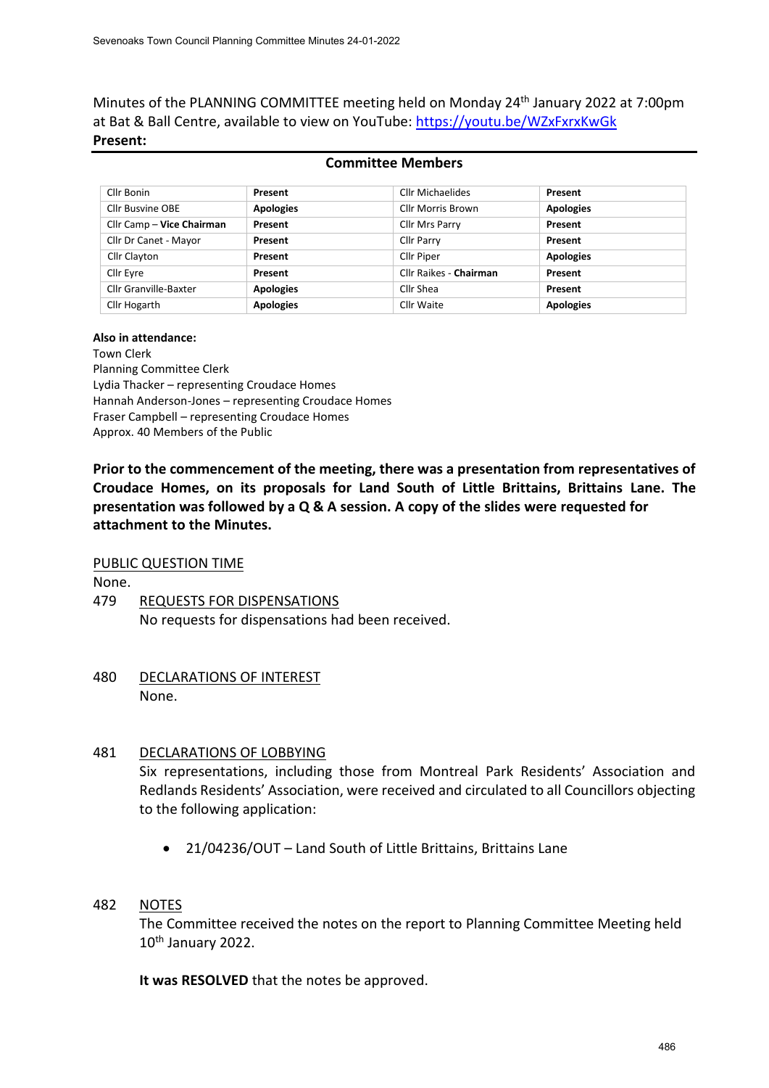Minutes of the PLANNING COMMITTEE meeting held on Monday 24<sup>th</sup> January 2022 at 7:00pm at Bat & Ball Centre, available to view on YouTube: <https://youtu.be/WZxFxrxKwGk> **Present:**

## **Committee Members**

| Cllr Bonin                | Present          | Cllr Michaelides       | Present          |
|---------------------------|------------------|------------------------|------------------|
| Cllr Busvine OBE          | <b>Apologies</b> | Cllr Morris Brown      | <b>Apologies</b> |
| Cllr Camp - Vice Chairman | Present          | Cllr Mrs Parry         | Present          |
| Cllr Dr Canet - Mayor     | Present          | <b>Cllr Parry</b>      | Present          |
| Cllr Clayton              | Present          | <b>Cllr Piper</b>      | <b>Apologies</b> |
| Cllr Eyre                 | Present          | Cllr Raikes - Chairman | Present          |
| Cllr Granville-Baxter     | <b>Apologies</b> | Cllr Shea              | Present          |
| Cllr Hogarth              | <b>Apologies</b> | Cllr Waite             | <b>Apologies</b> |

#### **Also in attendance:**

Town Clerk

Planning Committee Clerk Lydia Thacker – representing Croudace Homes Hannah Anderson-Jones – representing Croudace Homes Fraser Campbell – representing Croudace Homes Approx. 40 Members of the Public

**Prior to the commencement of the meeting, there was a presentation from representatives of Croudace Homes, on its proposals for Land South of Little Brittains, Brittains Lane. The presentation was followed by a Q & A session. A copy of the slides were requested for attachment to the Minutes.**

### PUBLIC QUESTION TIME

None.

- 479 REQUESTS FOR DISPENSATIONS No requests for dispensations had been received.
- 480 DECLARATIONS OF INTEREST None.

## 481 DECLARATIONS OF LOBBYING

Six representations, including those from Montreal Park Residents' Association and Redlands Residents' Association, were received and circulated to all Councillors objecting to the following application:

• 21/04236/OUT – Land South of Little Brittains, Brittains Lane

## 482 NOTES

The Committee received the notes on the report to Planning Committee Meeting held 10th January 2022.

**It was RESOLVED** that the notes be approved.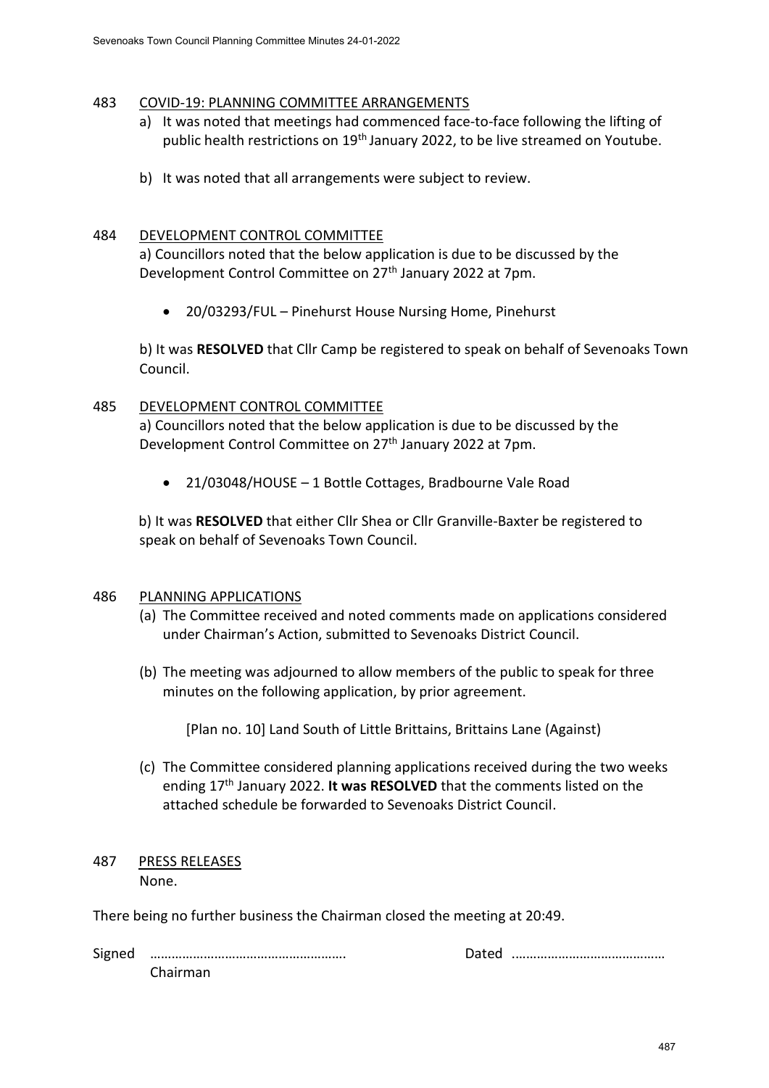## 483 COVID-19: PLANNING COMMITTEE ARRANGEMENTS

- a) It was noted that meetings had commenced face-to-face following the lifting of public health restrictions on 19<sup>th</sup> January 2022, to be live streamed on Youtube.
- b) It was noted that all arrangements were subject to review.

## 484 DEVELOPMENT CONTROL COMMITTEE

a) Councillors noted that the below application is due to be discussed by the Development Control Committee on 27th January 2022 at 7pm.

• 20/03293/FUL – Pinehurst House Nursing Home, Pinehurst

b) It was **RESOLVED** that Cllr Camp be registered to speak on behalf of Sevenoaks Town Council.

## 485 DEVELOPMENT CONTROL COMMITTEE

a) Councillors noted that the below application is due to be discussed by the Development Control Committee on 27<sup>th</sup> January 2022 at 7pm.

• 21/03048/HOUSE – 1 Bottle Cottages, Bradbourne Vale Road

b) It was **RESOLVED** that either Cllr Shea or Cllr Granville-Baxter be registered to speak on behalf of Sevenoaks Town Council.

## 486 PLANNING APPLICATIONS

- (a) The Committee received and noted comments made on applications considered under Chairman's Action, submitted to Sevenoaks District Council.
- (b) The meeting was adjourned to allow members of the public to speak for three minutes on the following application, by prior agreement.

[Plan no. 10] Land South of Little Brittains, Brittains Lane (Against)

(c) The Committee considered planning applications received during the two weeks ending 17th January 2022. **It was RESOLVED** that the comments listed on the attached schedule be forwarded to Sevenoaks District Council.

### 487 PRESS RELEASES None.

There being no further business the Chairman closed the meeting at 20:49.

Signed ………………………………………………. Dated .…………………………………… Chairman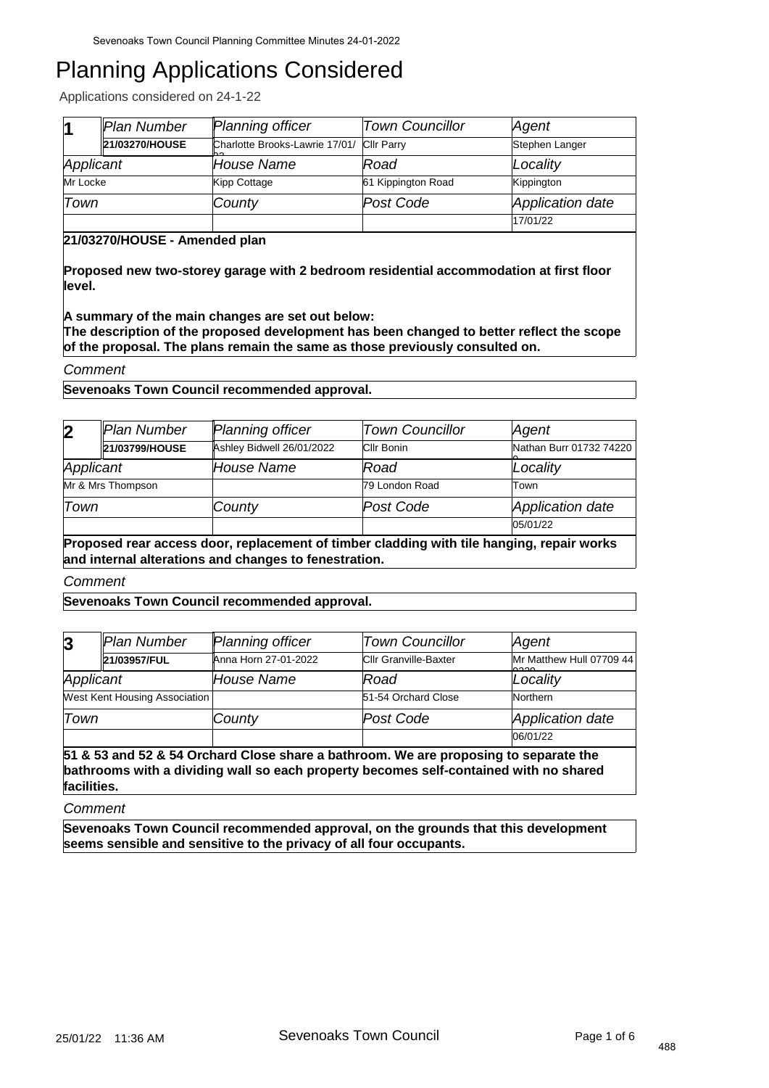Applications considered on 24-1-22

| 11        | Plan Number    | Planning officer                                  | <b>Town Councillor</b> | Agent            |
|-----------|----------------|---------------------------------------------------|------------------------|------------------|
|           | 21/03270/HOUSE | Charlotte Brooks-Lawrie 17/01/ Cllr Parry<br>lh o |                        | Stephen Langer   |
| Applicant |                | House Name                                        | Road                   | Locality         |
| Mr Locke  |                | Kipp Cottage                                      | 61 Kippington Road     | Kippington       |
| Town      |                | County                                            | Post Code              | Application date |
|           |                |                                                   |                        | 17/01/22         |

## **21/03270/HOUSE - Amended plan**

**Proposed new two-storey garage with 2 bedroom residential accommodation at first floor level.** 

**A summary of the main changes are set out below:** 

**The description of the proposed development has been changed to better reflect the scope of the proposal. The plans remain the same as those previously consulted on.**

### *Comment*

**Sevenoaks Town Council recommended approval.**

| $\overline{\mathbf{2}}$                                                                   | Plan Number       | <b>Planning officer</b>   | <b>Town Councillor</b> | Agent                   |  |
|-------------------------------------------------------------------------------------------|-------------------|---------------------------|------------------------|-------------------------|--|
|                                                                                           | 21/03799/HOUSE    | Ashley Bidwell 26/01/2022 | Cllr Bonin             | Nathan Burr 01732 74220 |  |
| Applicant                                                                                 |                   | House Name                | Road                   | Locality                |  |
|                                                                                           | Mr & Mrs Thompson |                           | 79 London Road         | Town                    |  |
| Town                                                                                      |                   | County                    | Post Code              | Application date        |  |
|                                                                                           |                   |                           |                        | 05/01/22                |  |
| Proposed rear access door, replacement of timber cladding with tile hanging, repair works |                   |                           |                        |                         |  |

**and internal alterations and changes to fenestration.**

*Comment*

**Sevenoaks Town Council recommended approval.**

| $\overline{3}$                | Plan Number  | <b>Planning officer</b> | <b>Town Councillor</b>       | Agent                             |
|-------------------------------|--------------|-------------------------|------------------------------|-----------------------------------|
|                               | 21/03957/FUL | Anna Horn 27-01-2022    | <b>Cllr Granville-Baxter</b> | Mr Matthew Hull 07709 44<br>0.000 |
| Applicant                     |              | House Name              | Road                         | Locality                          |
| West Kent Housing Association |              |                         | 51-54 Orchard Close          | Northern                          |
| Town                          |              | County                  | Post Code                    | Application date                  |
|                               |              |                         |                              | 06/01/22                          |

**51 & 53 and 52 & 54 Orchard Close share a bathroom. We are proposing to separate the bathrooms with a dividing wall so each property becomes self-contained with no shared facilities.**

*Comment*

**Sevenoaks Town Council recommended approval, on the grounds that this development seems sensible and sensitive to the privacy of all four occupants.**

488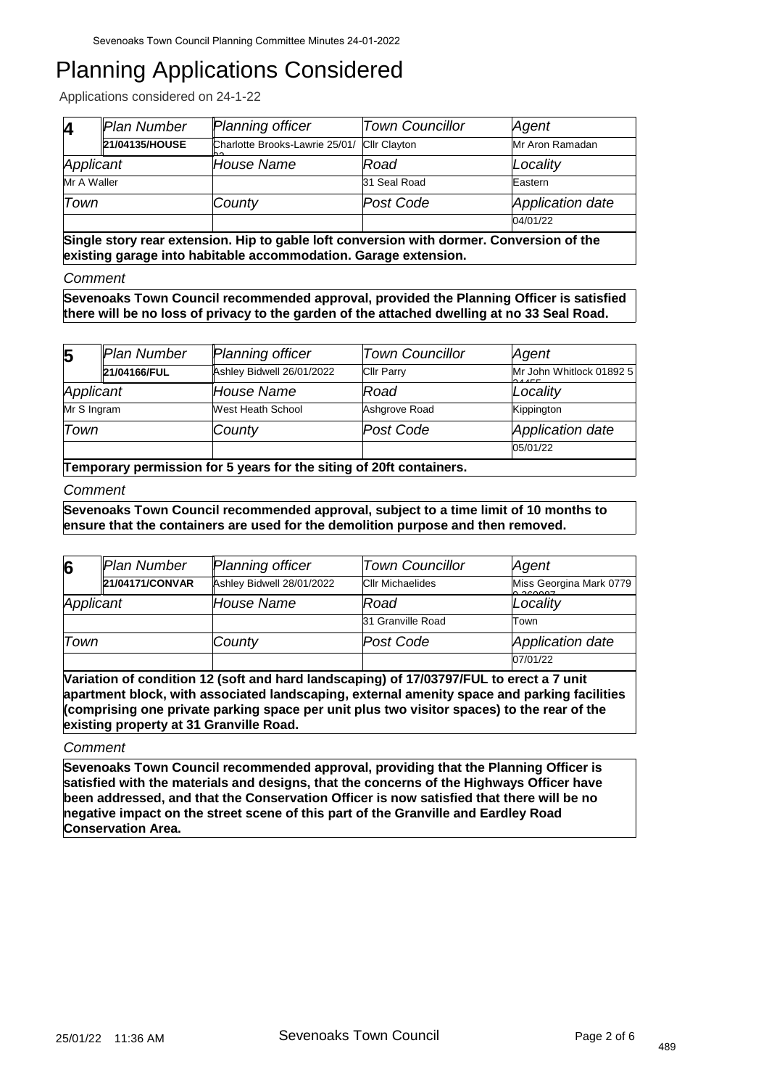Applications considered on 24-1-22

| Z           | Plan Number    | <b>Planning officer</b>                            | <b>Town Councillor</b> | Agent            |
|-------------|----------------|----------------------------------------------------|------------------------|------------------|
|             | 21/04135/HOUSE | Charlotte Brooks-Lawrie 25/01/ Cllr Clayton<br>no. |                        | Mr Aron Ramadan  |
| Applicant   |                | House Name                                         | Road                   | Locality         |
| Mr A Waller |                |                                                    | 31 Seal Road           | Eastern          |
| Town        |                | County                                             | Post Code              | Application date |
|             |                |                                                    |                        | 04/01/22         |

**Single story rear extension. Hip to gable loft conversion with dormer. Conversion of the existing garage into habitable accommodation. Garage extension.**

#### *Comment*

**Sevenoaks Town Council recommended approval, provided the Planning Officer is satisfied there will be no loss of privacy to the garden of the attached dwelling at no 33 Seal Road.**

| $5\overline{5}$ | Plan Number  | Planning officer          | <b>Town Councillor</b> | Agent                         |
|-----------------|--------------|---------------------------|------------------------|-------------------------------|
|                 | 21/04166/FUL | Ashley Bidwell 26/01/2022 | <b>Cllr Parry</b>      | Mr John Whitlock 01892 5<br>. |
| Applicant       |              | House Name                | Road                   | Locality                      |
| Mr S Ingram     |              | West Heath School         | Ashgrove Road          | Kippington                    |
| Town            |              | County                    | Post Code              | Application date              |
|                 |              |                           |                        | 05/01/22                      |

**Temporary permission for 5 years for the siting of 20ft containers.**

### *Comment*

**Sevenoaks Town Council recommended approval, subject to a time limit of 10 months to ensure that the containers are used for the demolition purpose and then removed.**

| 6                                                                                       | Plan Number     | <b>Planning officer</b>   | <b>Town Councillor</b>  | Agent                              |  |
|-----------------------------------------------------------------------------------------|-----------------|---------------------------|-------------------------|------------------------------------|--|
|                                                                                         | 21/04171/CONVAR | Ashley Bidwell 28/01/2022 | <b>CIIr Michaelides</b> | Miss Georgina Mark 0779<br>0.00007 |  |
| Applicant                                                                               |                 | House Name                | Road                    | Locality                           |  |
|                                                                                         |                 |                           | 31 Granville Road       | Town                               |  |
| Town                                                                                    |                 | County                    | Post Code               | Application date                   |  |
|                                                                                         |                 |                           |                         | 07/01/22                           |  |
| Variation of condition 12 (soft and hard landscaping) of 17/03797/FUL to erect a 7 unit |                 |                           |                         |                                    |  |

**apartment block, with associated landscaping, external amenity space and parking facilities (comprising one private parking space per unit plus two visitor spaces) to the rear of the existing property at 31 Granville Road.**

#### *Comment*

**Sevenoaks Town Council recommended approval, providing that the Planning Officer is satisfied with the materials and designs, that the concerns of the Highways Officer have been addressed, and that the Conservation Officer is now satisfied that there will be no negative impact on the street scene of this part of the Granville and Eardley Road Conservation Area.**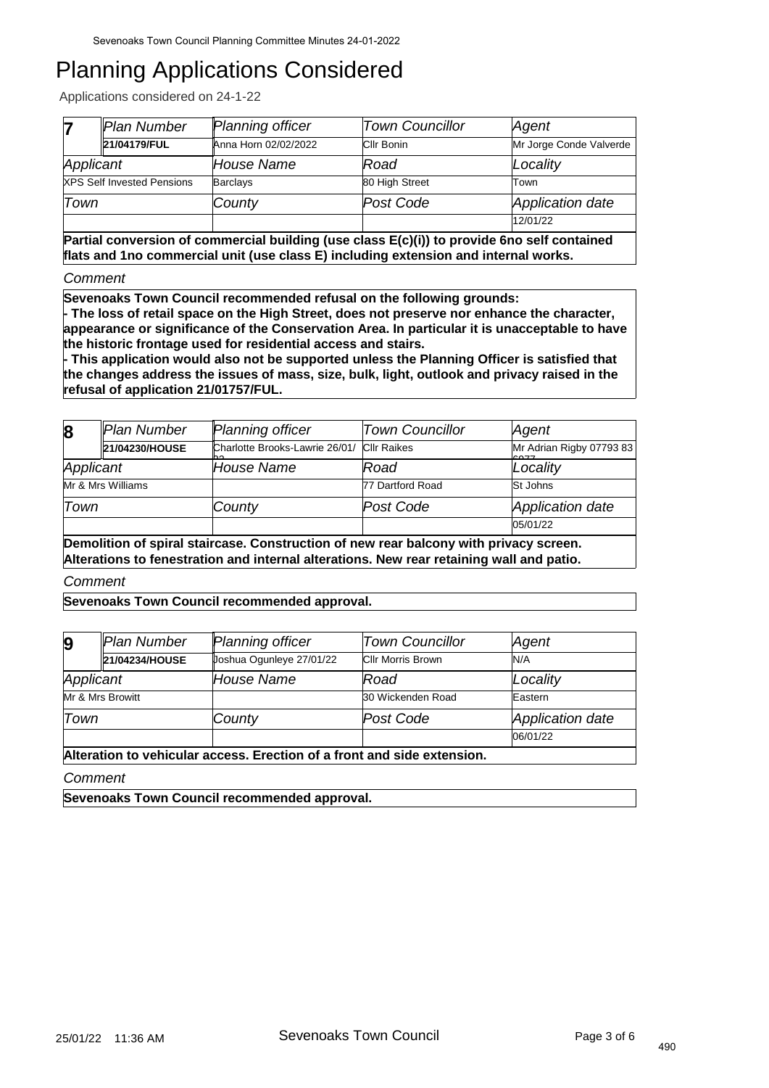Applications considered on 24-1-22

|           | Plan Number                       | <b>Planning officer</b> | <b>Town Councillor</b> | Agent                   |
|-----------|-----------------------------------|-------------------------|------------------------|-------------------------|
|           | 21/04179/FUL                      | Anna Horn 02/02/2022    | Cllr Bonin             | Mr Jorge Conde Valverde |
| Applicant |                                   | House Name              | Road                   | Locality                |
|           | <b>XPS Self Invested Pensions</b> | <b>Barclays</b>         | 80 High Street         | Town                    |
| Town      |                                   | County                  | Post Code              | Application date        |
|           |                                   |                         |                        | 12/01/22                |

**Partial conversion of commercial building (use class E(c)(i)) to provide 6no self contained flats and 1no commercial unit (use class E) including extension and internal works.**

*Comment*

**Sevenoaks Town Council recommended refusal on the following grounds:**

**- The loss of retail space on the High Street, does not preserve nor enhance the character, appearance or significance of the Conservation Area. In particular it is unacceptable to have the historic frontage used for residential access and stairs.** 

**- This application would also not be supported unless the Planning Officer is satisfied that the changes address the issues of mass, size, bulk, light, outlook and privacy raised in the refusal of application 21/01757/FUL.**

| $\bf{8}$  | Plan Number       | <b>Planning officer</b>              | <b>Town Councillor</b> | Agent                                                   |
|-----------|-------------------|--------------------------------------|------------------------|---------------------------------------------------------|
|           | 21/04230/HOUSE    | Charlotte Brooks-Lawrie 26/01/<br>nn | <b>Cllr Raikes</b>     | Mr Adrian Rigby 07793 83<br>$\sim$ $\sim$ $\sim$ $\sim$ |
| Applicant |                   | House Name                           | Road                   | Locality                                                |
|           | Mr & Mrs Williams |                                      | 77 Dartford Road       | St Johns                                                |
| Town      |                   | County                               | Post Code              | Application date                                        |
|           |                   |                                      |                        | 05/01/22                                                |

**Demolition of spiral staircase. Construction of new rear balcony with privacy screen. Alterations to fenestration and internal alterations. New rear retaining wall and patio.**

*Comment*

**Sevenoaks Town Council recommended approval.**

| $\boldsymbol{9}$ | Plan Number      | <b>Planning officer</b>                                                 | <b>Town Councillor</b>   | Agent            |
|------------------|------------------|-------------------------------------------------------------------------|--------------------------|------------------|
|                  | 21/04234/HOUSE   | Joshua Ogunleye 27/01/22                                                | <b>Cllr Morris Brown</b> | N/A              |
| Applicant        |                  | House Name                                                              | Road                     | Locality         |
|                  | Mr & Mrs Browitt |                                                                         | 30 Wickenden Road        | Eastern          |
| Town             |                  | County                                                                  | Post Code                | Application date |
|                  |                  |                                                                         |                          | 06/01/22         |
|                  |                  | Alteration to vahiouler essesse. Exection of a front and side extension |                          |                  |

**Alteration to vehicular access. Erection of a front and side extension.**

*Comment*

**Sevenoaks Town Council recommended approval.**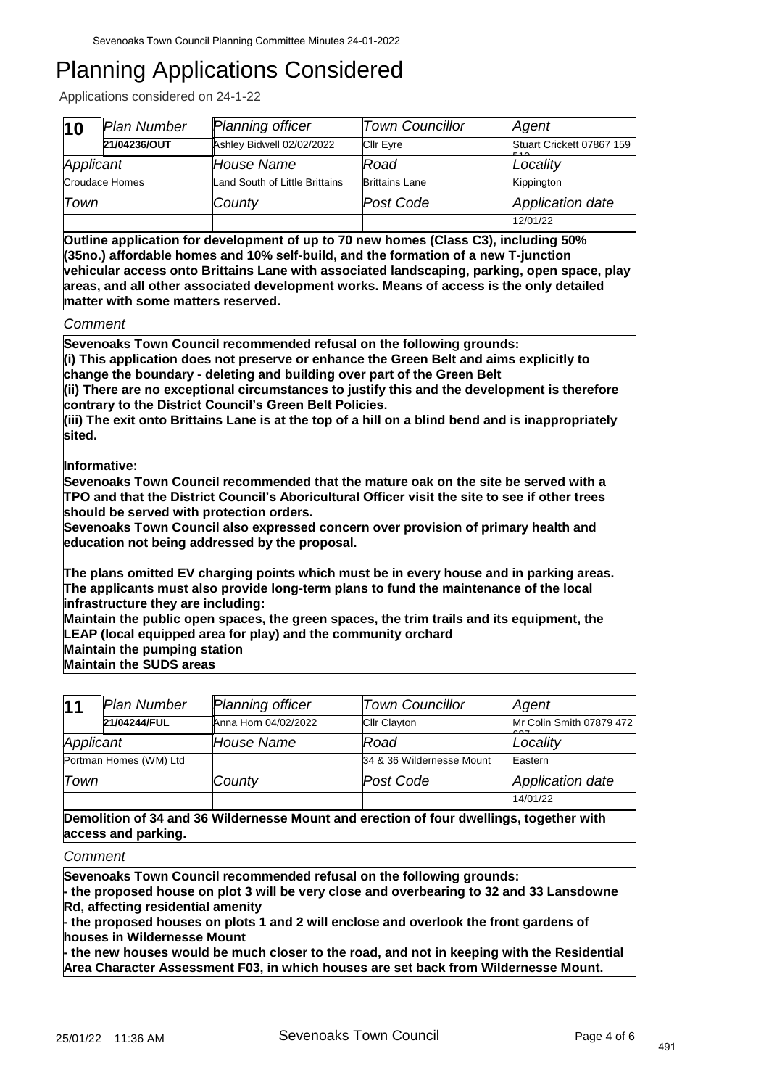Applications considered on 24-1-22

| $\vert$ 10 | Plan Number    | Planning officer               | <b>Town Councillor</b> | Agent                            |
|------------|----------------|--------------------------------|------------------------|----------------------------------|
|            | 21/04236/OUT   | Ashley Bidwell 02/02/2022      | <b>Cllr Eyre</b>       | Stuart Crickett 07867 159<br>F A |
| Applicant  |                | House Name                     | Road                   | Locality                         |
|            | Croudace Homes | Land South of Little Brittains | <b>Brittains Lane</b>  | Kippington                       |
| Town       |                | County                         | Post Code              | Application date                 |
|            |                |                                |                        | 12/01/22                         |

**Outline application for development of up to 70 new homes (Class C3), including 50% (35no.) affordable homes and 10% self-build, and the formation of a new T-junction vehicular access onto Brittains Lane with associated landscaping, parking, open space, play areas, and all other associated development works. Means of access is the only detailed matter with some matters reserved.**

*Comment*

**Sevenoaks Town Council recommended refusal on the following grounds: (i) This application does not preserve or enhance the Green Belt and aims explicitly to change the boundary - deleting and building over part of the Green Belt**

**(ii) There are no exceptional circumstances to justify this and the development is therefore contrary to the District Council's Green Belt Policies.**

**(iii) The exit onto Brittains Lane is at the top of a hill on a blind bend and is inappropriately sited.**

**Informative:** 

**Sevenoaks Town Council recommended that the mature oak on the site be served with a TPO and that the District Council's Aboricultural Officer visit the site to see if other trees should be served with protection orders.**

**Sevenoaks Town Council also expressed concern over provision of primary health and education not being addressed by the proposal.**

**The plans omitted EV charging points which must be in every house and in parking areas. The applicants must also provide long-term plans to fund the maintenance of the local infrastructure they are including:** 

**Maintain the public open spaces, the green spaces, the trim trails and its equipment, the LEAP (local equipped area for play) and the community orchard Maintain the pumping station**

**Maintain the SUDS areas**

| 11        | Plan Number                                                                             | <b>Planning officer</b> | <b>Town Councillor</b>    | Agent                    |  |  |
|-----------|-----------------------------------------------------------------------------------------|-------------------------|---------------------------|--------------------------|--|--|
|           | 21/04244/FUL                                                                            | Anna Horn 04/02/2022    | <b>Cllr Clayton</b>       | Mr Colin Smith 07879 472 |  |  |
| Applicant |                                                                                         | <b>House Name</b>       | Road                      | Locality                 |  |  |
|           | Portman Homes (WM) Ltd                                                                  |                         | 34 & 36 Wildernesse Mount | Eastern                  |  |  |
| Town      |                                                                                         | County                  | Post Code                 | Application date         |  |  |
|           |                                                                                         |                         |                           | 14/01/22                 |  |  |
|           | Demolition of 34 and 36 Wildernesse Mount and erection of four dwellings, together with |                         |                           |                          |  |  |
|           | access and parking.                                                                     |                         |                           |                          |  |  |

*Comment*

**Sevenoaks Town Council recommended refusal on the following grounds:**

**- the proposed house on plot 3 will be very close and overbearing to 32 and 33 Lansdowne Rd, affecting residential amenity**

**- the proposed houses on plots 1 and 2 will enclose and overlook the front gardens of houses in Wildernesse Mount**

**- the new houses would be much closer to the road, and not in keeping with the Residential Area Character Assessment F03, in which houses are set back from Wildernesse Mount.**

491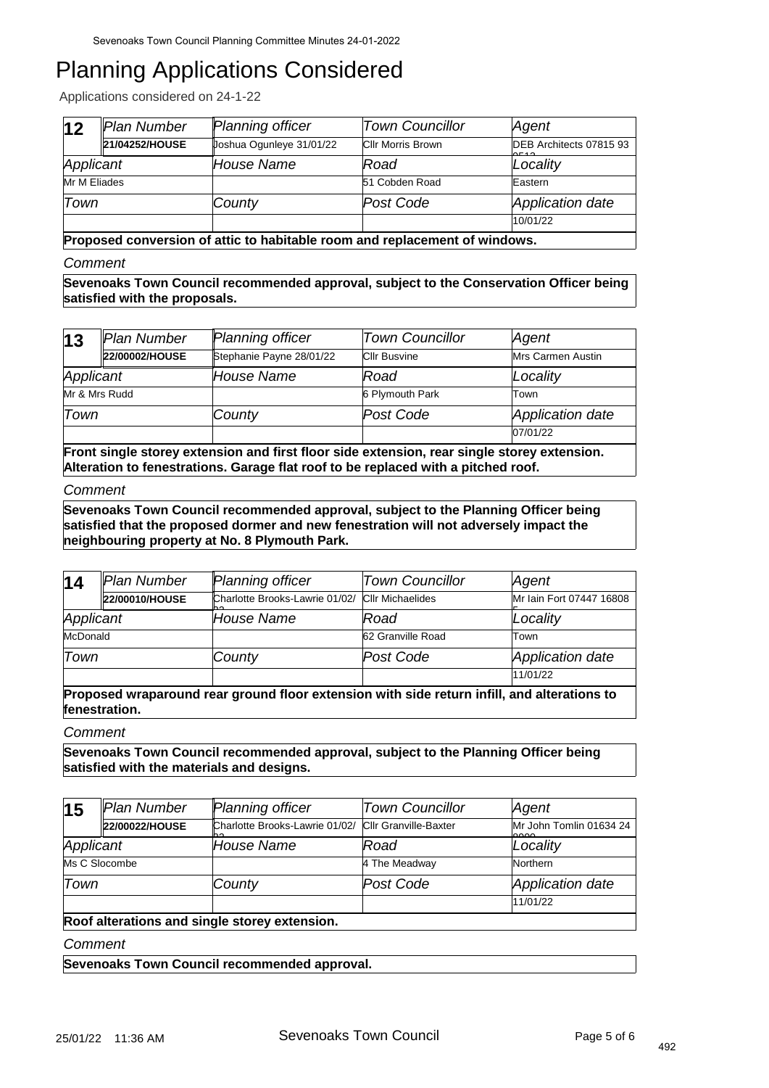Applications considered on 24-1-22

| 12           | Plan Number    | Planning officer         | <b>Town Councillor</b>   | Agent                            |
|--------------|----------------|--------------------------|--------------------------|----------------------------------|
|              | 21/04252/HOUSE | Uoshua Ogunleye 31/01/22 | <b>CIIr Morris Brown</b> | DEB Architects 07815 93<br>0.540 |
| Applicant    |                | House Name               | Road                     | Locality                         |
| Mr M Eliades |                |                          | 51 Cobden Road           | Eastern                          |
| Town         |                | County                   | Post Code                | Application date                 |
|              |                |                          |                          | 10/01/22                         |

**Proposed conversion of attic to habitable room and replacement of windows.**

### *Comment*

**Sevenoaks Town Council recommended approval, subject to the Conservation Officer being satisfied with the proposals.**

| 13                                                                                          | Plan Number    | Planning officer         | <b>Town Councillor</b> | Agent                    |
|---------------------------------------------------------------------------------------------|----------------|--------------------------|------------------------|--------------------------|
|                                                                                             | 22/00002/HOUSE | Stephanie Payne 28/01/22 | <b>CIIr Busvine</b>    | <b>Mrs Carmen Austin</b> |
| Applicant                                                                                   |                | House Name               | Road                   | Locality                 |
| Mr & Mrs Rudd                                                                               |                |                          | 6 Plymouth Park        | Town                     |
| Town                                                                                        |                | County                   | Post Code              | Application date         |
|                                                                                             |                |                          |                        | 07/01/22                 |
| Front single storey extension and first floor side extension, rear single storey extension. |                |                          |                        |                          |

**Alteration to fenestrations. Garage flat roof to be replaced with a pitched roof.**

### *Comment*

**Sevenoaks Town Council recommended approval, subject to the Planning Officer being satisfied that the proposed dormer and new fenestration will not adversely impact the neighbouring property at No. 8 Plymouth Park.**

| 14        | Plan Number    | <b>Planning officer</b>               | <b>Town Councillor</b>  | Agent                    |
|-----------|----------------|---------------------------------------|-------------------------|--------------------------|
|           | 22/00010/HOUSE | Charlotte Brooks-Lawrie 01/02/<br>nn. | <b>CIIr Michaelides</b> | Mr Iain Fort 07447 16808 |
| Applicant |                | House Name                            | Road                    | Locality                 |
| McDonald  |                |                                       | 62 Granville Road       | Town                     |
| Town      |                | County                                | Post Code               | Application date         |
|           |                |                                       |                         | 11/01/22                 |

**Proposed wraparound rear ground floor extension with side return infill, and alterations to fenestration.**

#### *Comment*

**Sevenoaks Town Council recommended approval, subject to the Planning Officer being satisfied with the materials and designs.**

| 15                                           | Plan Number    | Planning officer                                           | <b>Town Councillor</b> | Agent                           |
|----------------------------------------------|----------------|------------------------------------------------------------|------------------------|---------------------------------|
|                                              | 22/00022/HOUSE | Charlotte Brooks-Lawrie 01/02/ Cllr Granville-Baxter<br>nn |                        | Mr John Tomlin 01634 24<br>0000 |
| Applicant                                    |                | <b>House Name</b>                                          | Road                   | Locality                        |
| Ms C Slocombe                                |                |                                                            | 4 The Meadway          | Northern                        |
| Town                                         |                | County                                                     | Post Code              | Application date                |
|                                              |                |                                                            |                        | 11/01/22                        |
| Deef elterations and single starsy sytensian |                |                                                            |                        |                                 |

#### **Roof alterations and single storey extension.**

*Comment*

**Sevenoaks Town Council recommended approval.**

492